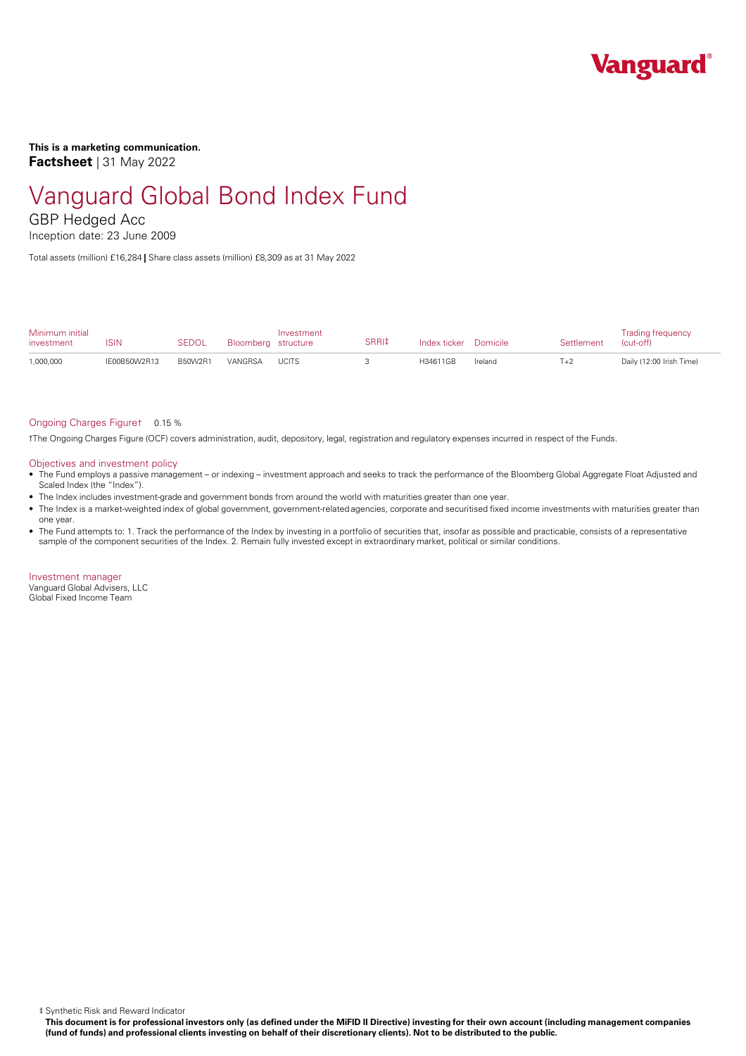

**This is a marketing communication. Factsheet** | 31 May 2022

# Vanguard Global Bond Index Fund

GBP Hedged Acc

Inception date: 23 June 2009

Total assets (million) £16,284 **|** Share class assets (million) £8,309 as at 31 May 2022

| Minimum initial<br>investment | ISIN         | <b>SEDOL</b> | Bloomberg structure | Investment   | SRRI‡ | Index ticker Domicile |         | Settlement | <b>Trading frequency</b><br>(cut-off) |
|-------------------------------|--------------|--------------|---------------------|--------------|-------|-----------------------|---------|------------|---------------------------------------|
| 1,000,000                     | IE00B50W2R13 | B50W2R1      | VANGRSA             | <b>UCITS</b> |       | H34611GB              | Ireland | $T+2$      | Daily (12:00 Irish Time)              |

#### Ongoing Charges Figure† 0.15 %

†The Ongoing Charges Figure (OCF) covers administration, audit, depository, legal, registration and regulatory expenses incurred in respect of the Funds.

#### Objectives and investment policy

- The Fund employs a passive management orindexing investment approach and seeks to track the performance of the Bloomberg Global Aggregate Float Adjusted and Scaled Index (the "Index").
- The Index includes investment-grade and government bonds from around the world with maturities greater than one year.
- The Index is a market-weighted index ofglobal government, government-related agencies, corporate and securitised fixed income investments with maturities greater than one year.
- The Fund attempts to: 1. Track the performance of the Index by investing in a portfolio of securities that, insofar as possible and practicable, consists of a representative sample of the component securities of the Index. 2. Remain fully invested except in extraordinary market, political or similar conditions.

Investment manager Vanguard Global Advisers, LLC Global Fixed Income Team

‡ Synthetic Risk and Reward Indicator

This document is for professional investors only (as defined under the MiFID II Directive) investing for their own account (including management companies (fund of funds) and professional clients investing on behalf of their discretionary clients). Not to be distributed to the public.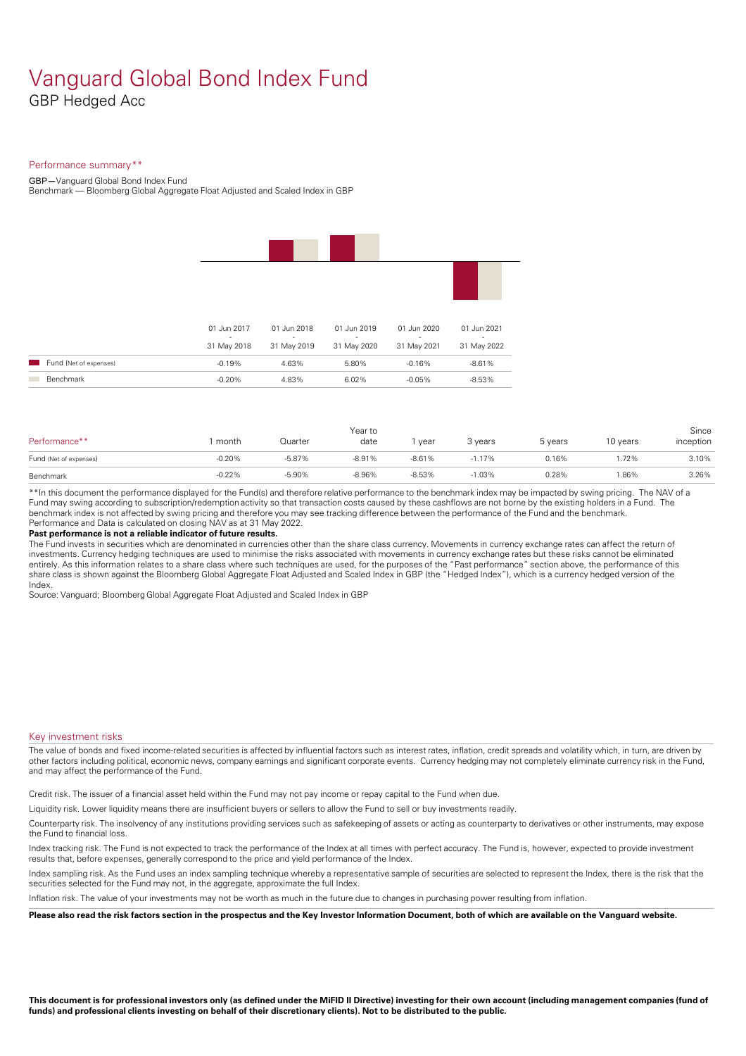### Vanguard Global Bond Index Fund GBP Hedged Acc

#### Performance summary\*\*

GBP**—**Vanguard Global Bond Index Fund

Benchmark — Bloomberg Global Aggregate Float Adjusted and Scaled Index in GBP

|                                                    | 01 Jun 2017<br>$\sim$<br>31 May 2018 | 01 Jun 2018<br>$\sim$<br>31 May 2019 | 01 Jun 2019<br>$\sim$<br>31 May 2020 | 01 Jun 2020<br>$\sim$<br>31 May 2021 | 01 Jun 2021<br>$\sim$<br>31 May 2022 |
|----------------------------------------------------|--------------------------------------|--------------------------------------|--------------------------------------|--------------------------------------|--------------------------------------|
| Fund (Net of expenses)<br><b>Contract Contract</b> | $-0.19%$                             | 4.63%                                | 5.80%                                | $-0.16%$                             | $-8.61%$                             |

| Performance**          | month    | Quarter  | Year to<br>date | year     | 3 years  | 5 years | 10 years | Since<br>inception |
|------------------------|----------|----------|-----------------|----------|----------|---------|----------|--------------------|
| Fund (Net of expenses) | $-0.20%$ | $-5.87%$ | $-8.91%$        | $-8.61%$ | $-1.17%$ | 0.16%   | .72%     | 3.10%              |
| Benchmark              | $-0.22%$ | $-5.90%$ | $-8.96%$        | $-8.53%$ | $-1.03%$ | 0.28%   | .86%     | 3.26%              |

\*\*In this document the performance displayed for the Fund(s) and therefore relative performance to the benchmark index may be impacted by swing pricing. The NAV of a Fund may swing according to subscription/redemption activity so that transaction costs caused by these cashflows are notborne by the existing holders in a Fund. The benchmark index is not affected by swing pricing and therefore you may see tracking difference between the performance of the Fund and the benchmark. Performance and Data is calculated on closing NAV as at 31 May 2022.

#### **Past performance is not a reliable indicator of future results.**

The Fund invests in securities which are denominated in currencies other than the share class currency. Movements in currency exchange rates can affect the return of investments. Currency hedging techniques are used to minimise the risks associated with movements in currency exchange rates but these risks cannot be eliminated entirely. As this information relates to a share class where such techniques are used, for the purposes of the "Past performance" section above, the performance of this share class is shown against the Bloomberg Global Aggregate Float Adjusted and Scaled Index in GBP (the "Hedged Index"), which is a currency hedged version of the Index.

Source: Vanguard; Bloomberg Global Aggregate Float Adjusted and Scaled Index in GBP

#### Key investment risks

The value of bonds and fixed income-related securities is affected by influential factors such as interest rates, inflation, credit spreads and volatility which, in turn, are driven by other factors including political, economic news, company earnings and significant corporate events. Currency hedging may not completely eliminate currency risk in the Fund, and may affect the performance of the Fund.

Credit risk. The issuer of a financial asset held within the Fund may not pay income or repay capital to the Fund when due.

Liquidity risk. Lower liquidity means there are insufficient buyers or sellers to allow the Fund to sell or buy investments readily.

Counterparty risk. The insolvency ofany institutions providing services such as safekeeping of assets or acting as counterparty to derivatives or other instruments, may expose the Fund to financial loss.

Index tracking risk.The Fund is not expected to track the performance of the Index at all times with perfect accuracy. The Fund is, however, expected to provide investment results that, before expenses, generally correspond to the price and yield performance of the Index.

Index sampling risk. As the Fund uses an index sampling technique whereby a representative sample of securities are selected to represent the Index, there is the risk that the securities selected for the Fund may not, in the aggregate, approximate the full Index.

Inflation risk. The value of your investments may not be worth as much in the future due to changes in purchasing power resulting from inflation.

Please also read the risk factors section in the prospectus and the Key Investor Information Document, both of which are available on the Vanguard website.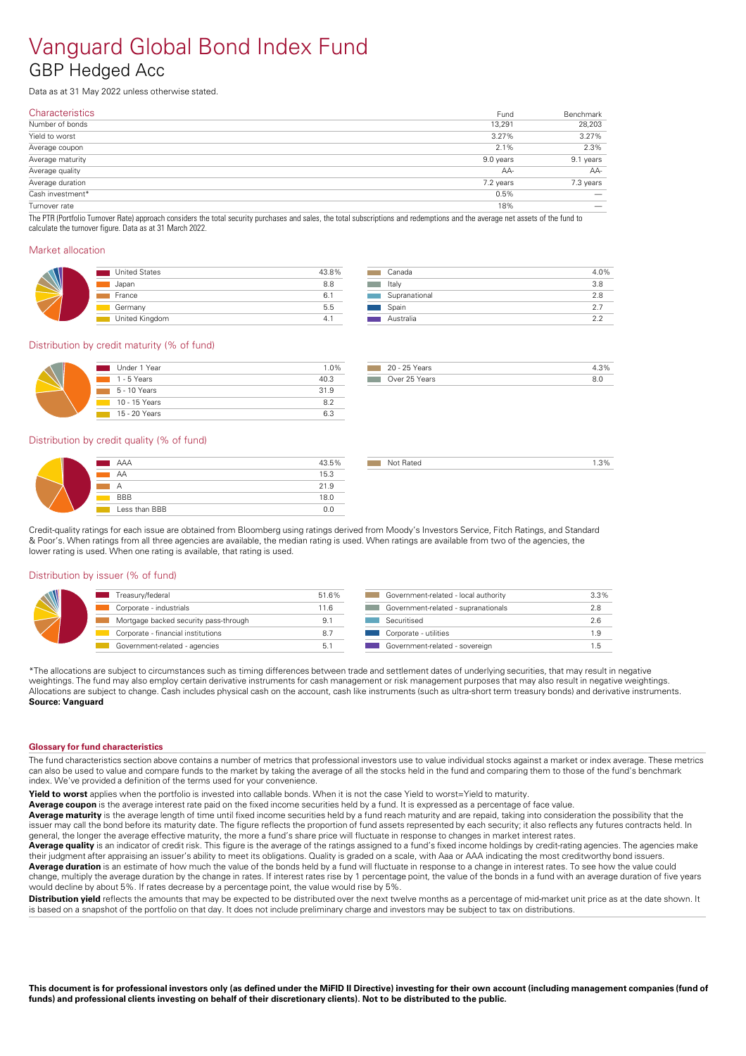### Vanguard Global Bond Index Fund GBP Hedged Acc

Data as at 31 May 2022 unless otherwise stated.

| Fund      | Benchmark                |
|-----------|--------------------------|
| 13,291    | 28,203                   |
| 3.27%     | 3.27%                    |
| 2.1%      | 2.3%                     |
| 9.0 years | 9.1 years                |
| AA-       | AA-                      |
| 7.2 years | 7.3 years                |
| 0.5%      | $\overline{\phantom{m}}$ |
| 18%       |                          |
|           |                          |

The PTR (Portfolio Turnover Rate) approach considers the total security purchases and sales, the total subscriptions and redemptions and the average net assets of the fund to calculate the turnover figure. Data as at 31 March 2022.

#### Market allocation

| <b>United States</b> | 43.8% |
|----------------------|-------|
| Japan                | 8.8   |
| France               | 6.    |
| Germany              | 5.5   |
| United Kingdom       | 4.    |

| Canada        | 4.0% |
|---------------|------|
| Italy         | 3.8  |
| Supranational | 28   |
| Spain         | 27   |
| Australia     |      |
|               |      |

#### Distribution by credit maturity (% of fund)

| Under 1 Year                | 1.0% |
|-----------------------------|------|
| $1 - 5$ Years               | 40.3 |
| $\blacksquare$ 5 - 10 Years | 31.9 |
| 10 - 15 Years               | 82   |
| 15 - 20 Years               | 63   |

| 20 - 25 Years                                      |  |
|----------------------------------------------------|--|
| Over 25 Years<br><b>The Company of the Company</b> |  |

not Rated 2.3% and 2.3%

#### Distribution by credit quality (% of fund)

| AAA           | 43.5% |
|---------------|-------|
| AA            | 15.3  |
| А             | 21.9  |
| <b>BBB</b>    | 18.0  |
| Less than BBB | 0.0   |

Credit-quality ratings for each issue are obtained from Bloomberg using ratings derived from Moody's Investors Service, Fitch Ratings, and Standard & Poor's. When ratings from all three agencies are available, the median rating is used. When ratings are available from two of the agencies, the lower rating is used. When one rating is available, that rating is used.

#### Distribution by issuer (% of fund)

| Treasury/federal                      | 51.6% | Government-related - local authority | 3.3% |
|---------------------------------------|-------|--------------------------------------|------|
| Corporate - industrials               | 11.6  | Government-related - supranationals  | 2.8  |
| Mortgage backed security pass-through |       | Securitised                          | 2.6  |
| Corporate - financial institutions    |       | Corporate - utilities                |      |
| Government-related - agencies         |       | Government-related - sovereign       |      |

\*The allocations are subject to circumstances such as timing differences between trade and settlement dates of underlying securities, that may result in negative weightings. The fund may also employ certain derivative instruments for cash management or risk management purposes that may also result in negative weightings. Allocations are subject to change. Cash includes physical cash on the account, cash like instruments (such as ultra-short term treasury bonds) and derivative instruments. **Source: Vanguard** 

#### **Glossary for fund characteristics**

The fund characteristics section above contains a number of metrics that professional investors use to value individual stocks against a market or index average. These metrics can also be used to value and compare funds to the market by taking the average of all the stocks held in the fund and comparing them to those of the fund's benchmark index. We've provided a definition of the terms used for your convenience.

**Yield to worst** applies when the portfolio is invested into callable bonds. When it is not the case Yield to worst=Yield to maturity.

Average coupon is the average interest rate paid on the fixed income securities held by a fund. It is expressed as a percentage of face value.

**Average maturity** is the average length of time until fixed income securities held by a fund reach maturity and are repaid, taking into consideration the possibility that the issuer may call the bond before its maturity date. The figure reflects the proportion of fund assets represented by each security; it also reflects any futures contracts held. In general, the longer the average effective maturity, the more a fund's share price will fluctuate in response to changes in market interest rates.

Average quality is an indicator of credit risk. This figure is the average of the ratings assigned to a fund's fixed income holdings by credit-rating agencies. The agencies make their judgment after appraising an issuer's ability to meet its obligations. Quality is graded on a scale, with Aaa orAAA indicating the most creditworthy bond issuers. **Average duration** is an estimate of how much the value of the bonds held by a fund will fluctuate in response to a change in interest rates. To see how the value could change, multiply the average duration by the change in rates. If interest rates rise by 1 percentage point, the value of the bonds in a fund with an average duration of five years

would decline by about 5%. If rates decrease by a percentage point, the value would rise by 5%. **Distribution vield** reflects the amounts that may be expected to be distributed over the next twelve months as a percentage of mid-market unit price as at the date shown. It is based on a snapshot of the portfolio on that day. It does not include preliminary charge and investors may be subject to tax on distributions.

This document is for professional investors only (as defined under the MiFID II Directive) investing for their own account (including management companies (fund of funds) and professional clients investing on behalf of their discretionary clients). Not to be distributed to the public.